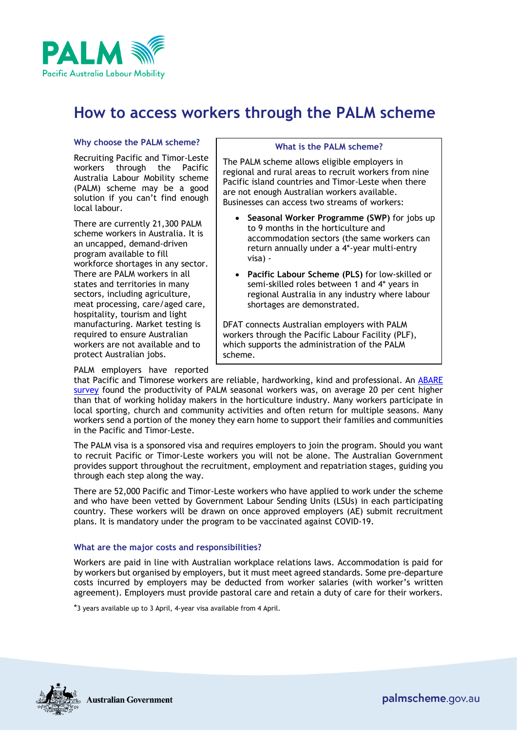

# **How to access workers through the PALM scheme**

#### **Why choose the PALM scheme?**

Recruiting Pacific and Timor-Leste workers through the Pacific Australia Labour Mobility scheme (PALM) scheme may be a good solution if you can't find enough local labour.

There are currently 21,300 PALM scheme workers in Australia. It is an uncapped, demand-driven program available to fill workforce shortages in any sector. There are PALM workers in all states and territories in many sectors, including agriculture, meat processing, care/aged care, hospitality, tourism and light manufacturing. Market testing is required to ensure Australian workers are not available and to protect Australian jobs.

#### PALM employers have reported

## **What is the PALM scheme?**

The PALM scheme allows eligible employers in regional and rural areas to recruit workers from nine Pacific island countries and Timor-Leste when there are not enough Australian workers available. Businesses can access two streams of workers:

- **Seasonal Worker Programme (SWP)** for jobs up to 9 months in the horticulture and accommodation sectors (the same workers can return annually under a 4\*-year multi-entry visa) -
- **Pacific Labour Scheme (PLS)** for low-skilled or semi-skilled roles between 1 and 4\* years in regional Australia in any industry where labour shortages are demonstrated.

DFAT connects Australian employers with PALM workers through the Pacific Labour Facility (PLF), which supports the administration of the PALM scheme.

that Pacific and Timorese workers are reliable, hardworking, kind and professional. An [ABARE](https://www.awe.gov.au/abares/research-topics/productivity/productivity-drivers/seasonal-workers-report#seasonal-workers-contribute-to-productivity-and-profitability-gains)  [survey](https://www.awe.gov.au/abares/research-topics/productivity/productivity-drivers/seasonal-workers-report#seasonal-workers-contribute-to-productivity-and-profitability-gains) found the productivity of PALM seasonal workers was, on average 20 per cent higher than that of working holiday makers in the horticulture industry. Many workers participate in local sporting, church and community activities and often return for multiple seasons. Many workers send a portion of the money they earn home to support their families and communities in the Pacific and Timor-Leste.

The PALM visa is a sponsored visa and requires employers to join the program. Should you want to recruit Pacific or Timor-Leste workers you will not be alone. The Australian Government provides support throughout the recruitment, employment and repatriation stages, guiding you through each step along the way.

There are 52,000 Pacific and Timor-Leste workers who have applied to work under the scheme and who have been vetted by Government Labour Sending Units (LSUs) in each participating country. These workers will be drawn on once approved employers (AE) submit recruitment plans. It is mandatory under the program to be vaccinated against COVID-19.

#### **What are the major costs and responsibilities?**

Workers are paid in line with Australian workplace relations laws. Accommodation is paid for by workers but organised by employers, but it must meet agreed standards. Some pre-departure costs incurred by employers may be deducted from worker salaries (with worker's written agreement). Employers must provide pastoral care and retain a duty of care for their workers.

\*3 years available up to 3 April, 4-year visa available from 4 April.